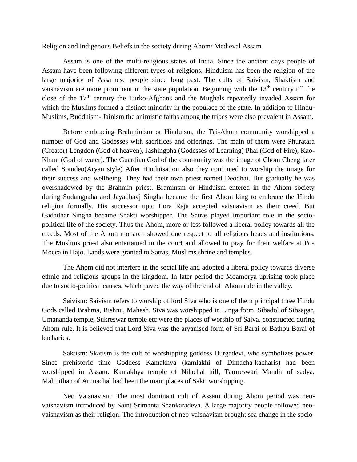Religion and Indigenous Beliefs in the society during Ahom/ Medieval Assam

Assam is one of the multi-religious states of India. Since the ancient days people of Assam have been following different types of religions. Hinduism has been the religion of the large majority of Assamese people since long past. The cults of Saivism, Shaktism and vaisnavism are more prominent in the state population. Beginning with the  $13<sup>th</sup>$  century till the close of the  $17<sup>th</sup>$  century the Turko-Afghans and the Mughals repeatedly invaded Assam for which the Muslims formed a distinct minority in the populace of the state. In addition to Hindu-Muslims, Buddhism- Jainism the animistic faiths among the tribes were also prevalent in Assam.

Before embracing Brahminism or Hinduism, the Tai-Ahom community worshipped a number of God and Godesses with sacrifices and offerings. The main of them were Phuratara (Creator) Lengdon (God of heaven), Jashingpha (Godesses of Learning) Phai (God of Fire), Kao-Kham (God of water). The Guardian God of the community was the image of Chom Cheng later called Somdeo(Aryan style) After Hinduisation also they continued to worship the image for their success and wellbeing. They had their own priest named Deodhai. But gradually he was overshadowed by the Brahmin priest. Braminsm or Hinduism entered in the Ahom society during Sudangpaha and Jayadhavj Singha became the first Ahom king to embrace the Hindu religion formally. His successor upto Lora Raja accepted vaisnavism as their creed. But Gadadhar Singha became Shakti worshipper. The Satras played important role in the sociopolitical life of the society. Thus the Ahom, more or less followed a liberal policy towards all the creeds. Most of the Ahom monarch showed due respect to all religious heads and institutions. The Muslims priest also entertained in the court and allowed to pray for their welfare at Poa Mocca in Hajo. Lands were granted to Satras, Muslims shrine and temples.

The Ahom did not interfere in the social life and adopted a liberal policy towards diverse ethnic and religious groups in the kingdom. In later period the Moamorya uprising took place due to socio-political causes, which paved the way of the end of Ahom rule in the valley.

Saivism: Saivism refers to worship of lord Siva who is one of them principal three Hindu Gods called Brahma, Bishnu, Mahesh. Siva was worshipped in Linga form. Sibadol of Sibsagar, Umananda temple, Sukreswar temple etc were the places of worship of Saiva, constructed during Ahom rule. It is believed that Lord Siva was the aryanised form of Sri Barai or Bathou Barai of kacharies.

Saktism: Skatism is the cult of worshipping goddess Durgadevi, who symbolizes power. Since prehistoric time Goddess Kamakhya (kamlakhi of Dimacha-kacharis) had been worshipped in Assam. Kamakhya temple of Nilachal hill, Tamreswari Mandir of sadya, Malinithan of Arunachal had been the main places of Sakti worshipping.

Neo Vaisnavism: The most dominant cult of Assam during Ahom period was neovaisnavism introduced by Saint Srimanta Shankaradeva. A large majority people followed neovaisnavism as their religion. The introduction of neo-vaisnavism brought sea change in the socio